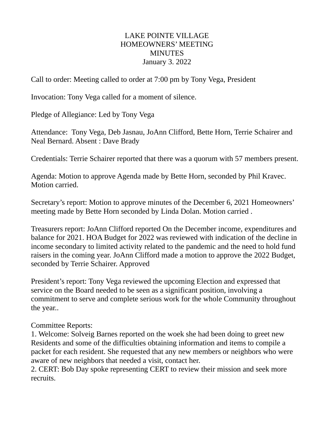#### LAKE POINTE VILLAGE HOMEOWNERS' MEETING MINUTES January 3. 2022

Call to order: Meeting called to order at 7:00 pm by Tony Vega, President

Invocation: Tony Vega called for a moment of silence.

Pledge of Allegiance: Led by Tony Vega

Attendance: Tony Vega, Deb Jasnau, JoAnn Clifford, Bette Horn, Terrie Schairer and Neal Bernard. Absent : Dave Brady

Credentials: Terrie Schairer reported that there was a quorum with 57 members present.

Agenda: Motion to approve Agenda made by Bette Horn, seconded by Phil Kravec. Motion carried.

Secretary's report: Motion to approve minutes of the December 6, 2021 Homeowners' meeting made by Bette Horn seconded by Linda Dolan. Motion carried .

Treasurers report: JoAnn Clifford reported On the December income, expenditures and balance for 2021. HOA Budget for 2022 was reviewed with indication of the decline in income secondary to limited activity related to the pandemic and the need to hold fund raisers in the coming year. JoAnn Clifford made a motion to approve the 2022 Budget, seconded by Terrie Schairer. Approved

President's report: Tony Vega reviewed the upcoming Election and expressed that service on the Board needed to be seen as a significant position, involving a commitment to serve and complete serious work for the whole Community throughout the year..

#### Committee Reports:

1. Welcome: Solveig Barnes reported on the woek she had been doing to greet new Residents and some of the difficulties obtaining information and items to compile a packet for each resident. She requested that any new members or neighbors who were aware of new neighbors that needed a visit, contact her.

2. CERT: Bob Day spoke representing CERT to review their mission and seek more recruits.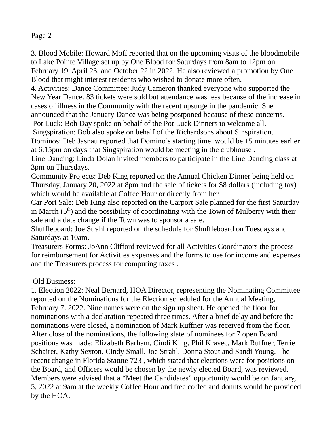## Page 2

3. Blood Mobile: Howard Moff reported that on the upcoming visits of the bloodmobile to Lake Pointe Village set up by One Blood for Saturdays from 8am to 12pm on February 19, April 23, and October 22 in 2022. He also reviewed a promotion by One Blood that might interest residents who wished to donate more often.

4. Activities: Dance Committee: Judy Cameron thanked everyone who supported the New Year Dance. 83 tickets were sold but attendance was less because of the increase in cases of illness in the Community with the recent upsurge in the pandemic. She announced that the January Dance was being postponed because of these concerns.

Pot Luck: Bob Day spoke on behalf of the Pot Luck Dinners to welcome all.

Singspiration: Bob also spoke on behalf of the Richardsons about Sinspiration.

Dominos: Deb Jasnau reported that Domino's starting time would be 15 minutes earlier at 6:15pm on days that Singspiration would be meeting in the clubhouse .

Line Dancing: Linda Dolan invited members to participate in the Line Dancing class at 3pm on Thursdays.

Community Projects: Deb King reported on the Annual Chicken Dinner being held on Thursday, January 20, 2022 at 8pm and the sale of tickets for \$8 dollars (including tax) which would be available at Coffee Hour or directly from her.

Car Port Sale: Deb King also reported on the Carport Sale planned for the first Saturday in March  $(5<sup>th</sup>)$  and the possibility of coordinating with the Town of Mulberry with their sale and a date change if the Town was to sponsor a sale.

Shuffleboard: Joe Strahl reported on the schedule for Shuffleboard on Tuesdays and Saturdays at 10am.

Treasurers Forms: JoAnn Clifford reviewed for all Activities Coordinators the process for reimbursement for Activities expenses and the forms to use for income and expenses and the Treasurers process for computing taxes .

Old Business:

1. Election 2022: Neal Bernard, HOA Director, representing the Nominating Committee reported on the Nominations for the Election scheduled for the Annual Meeting, February 7. 2022. Nine names were on the sign up sheet. He opened the floor for nominations with a declaration repeated three times. After a brief delay and before the nominations were closed, a nomination of Mark Ruffner was received from the floor. After close of the nominations, the following slate of nominees for 7 open Board positions was made: Elizabeth Barham, Cindi King, Phil Kravec, Mark Ruffner, Terrie Schairer, Kathy Sexton, Cindy Small, Joe Strahl, Donna Stout and Sandi Young. The recent change in Florida Statute 723 , which stated that elections were for positions on the Board, and Officers would be chosen by the newly elected Board, was reviewed. Members were advised that a "Meet the Candidates" opportunity would be on January, 5, 2022 at 9am at the weekly Coffee Hour and free coffee and donuts would be provided by the HOA.